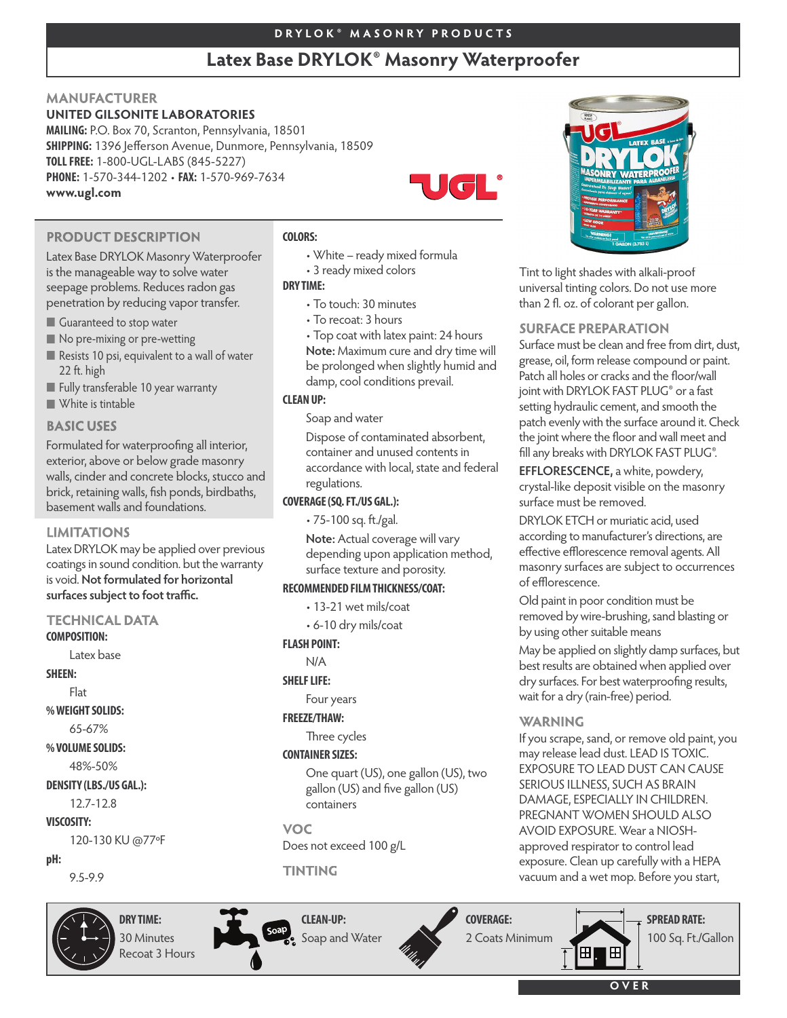# **D R Y L O K ® M A S O N R Y P R O D U C T S**

# **Latex Base DRYLOK® Masonry Waterproofer**

• White – ready mixed formula

• Top coat with latex paint: 24 hours **Note:** Maximum cure and dry time will be prolonged when slightly humid and

Dispose of contaminated absorbent, container and unused contents in accordance with local, state and federal

**Note:** Actual coverage will vary depending upon application method,

surface texture and porosity. **RECOMMENDED FILMTHICKNESS/COAT:** • 13-21 wet mils/coat • 6-10 dry mils/coat

damp, cool conditions prevail.

• 3 ready mixed colors

• To touch: 30 minutes • To recoat: 3 hours

Soap and water

regulations. **COVERAGE(SQ.FT./US GAL.):** • 75-100 sq. ft./gal.

**FLASH POINT:** N/A **SHELF LIFE:** 

Four years **FREEZE/THAW:**

Three cycles **CONTAINER SIZES:**

containers

**VOC** 

Does not exceed 100 g/L

# **MANUFACTURER**

# **UNITED GILSONITE LABORATORIES**

**MAILING:** P.O. Box 70, Scranton, Pennsylvania, 18501 **SHIPPING:** 1396 Jefferson Avenue, Dunmore, Pennsylvania, 18509 **TOLLFREE:** 1-800-UGL-LABS (845-5227) **PHONE:** 1-570-344-1202 • **FAX:** 1-570-969-7634 **www.ugl.com**

**COLORS:**

**DRY TIME:**

**CLEANUP:**



# **PRODUCT DESCRIPTION**

Latex Base DRYLOK Masonry Waterproofer is the manageable way to solve water seepage problems. Reduces radon gas penetration by reducing vapor transfer.

- Guaranteed to stop water
- No pre-mixing or pre-wetting
- Resists 10 psi, equivalent to a wall of water 22 ft. high
- Fully transferable 10 year warranty
- White is tintable

## **BASIC USES**

Formulated for waterproofing all interior, exterior, above or below grade masonry walls, cinder and concrete blocks, stucco and brick, retaining walls, fish ponds, birdbaths, basement walls and foundations.

#### **LIMITATIONS**

Latex DRYLOK may be applied over previous coatings in sound condition. but the warranty **is void.** Not formulated for horizontal surfaces subject to foot traffic.

# **TECHNICAL DATA**

#### **COMPOSITION:**

Latex base

**SHEEN:**

Flat

**%WEIGHTSOLIDS:**

65-67%

**%VOLUMESOLIDS:**

48%-50%

## **DENSITY (LBS./US GAL.):**

12.7-12.8

**VISCOSITY:**

# 120-130 KU @77ºF

#### **pH:**

9.5-9.9



# **DRY TIME:** 30 Minutes Recoat 3 Hours

**CLEAN-UP:** Soap and Water

**TINTING** 



One quart (US), one gallon (US), two gallon (US) and five gallon (US)



Tint to light shades with alkali-proof universal tinting colors. Do not use more than 2 fl. oz. of colorant per gallon.

## **SURFACE PREPARATION**

Surface must be clean and free from dirt, dust, grease, oil, form release compound or paint. Patch all holes or cracks and the floor/wall joint with DRYLOK FAST PLUG® or a fast setting hydraulic cement, and smooth the patch evenly with the surface around it. Check the joint where the floor and wall meet and fill any breaks with DRYLOK FAST PLUG®.

**EFFLORESCENCE,** a white, powdery, crystal-like deposit visible on the masonry surface must be removed.

DRYLOK ETCH or muriatic acid, used according to manufacturer's directions, are effective efflorescence removal agents. All masonry surfaces are subject to occurrences of efflorescence.

Old paint in poor condition must be removed by wire-brushing, sand blasting or by using other suitable means

May be applied on slightly damp surfaces, but best results are obtained when applied over dry surfaces. For best waterproofing results, wait for a dry (rain-free) period.

# **WARNING**

If you scrape, sand, or remove old paint, you may release lead dust. LEAD IS TOXIC. EXPOSURE TO LEAD DUST CAN CAUSE SERIOUS ILLNESS, SUCH AS BRAIN DAMAGE, ESPECIALLY IN CHILDREN. PREGNANT WOMEN SHOULD ALSO AVOID EXPOSURE. Wear a NIOSHapproved respirator to control lead exposure. Clean up carefully with a HEPA vacuum and a wet mop. Before you start,



**O V E R**

⊞

# **COVERAGE:**

2 Coats Minimum